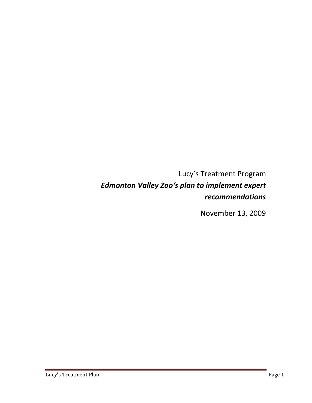Lucy's Treatment Program *Edmonton Valley Zoo's plan to implement expert recommendations*

November 13, 2009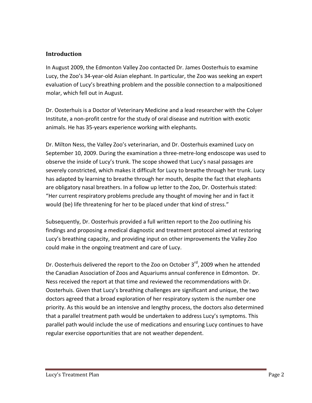#### **Introduction**

In August 2009, the Edmonton Valley Zoo contacted Dr. James Oosterhuis to examine Lucy, the Zoo's 34‐year‐old Asian elephant. In particular, the Zoo was seeking an expert evaluation of Lucy's breathing problem and the possible connection to a malpositioned molar, which fell out in August.

Dr. Oosterhuis is a Doctor of Veterinary Medicine and a lead researcher with the Colyer Institute, a non‐profit centre for the study of oral disease and nutrition with exotic animals. He has 35‐years experience working with elephants.

Dr. Milton Ness, the Valley Zoo's veterinarian, and Dr. Oosterhuis examined Lucy on September 10, 2009. During the examination a three‐metre‐long endoscope was used to observe the inside of Lucy's trunk. The scope showed that Lucy's nasal passages are severely constricted, which makes it difficult for Lucy to breathe through her trunk. Lucy has adapted by learning to breathe through her mouth, despite the fact that elephants are obligatory nasal breathers. In a follow up letter to the Zoo, Dr. Oosterhuis stated: "Her current respiratory problems preclude any thought of moving her and in fact it would (be) life threatening for her to be placed under that kind of stress."

Subsequently, Dr. Oosterhuis provided a full written report to the Zoo outlining his findings and proposing a medical diagnostic and treatment protocol aimed at restoring Lucy's breathing capacity, and providing input on other improvements the Valley Zoo could make in the ongoing treatment and care of Lucy.

Dr. Oosterhuis delivered the report to the Zoo on October 3<sup>rd</sup>, 2009 when he attended the Canadian Association of Zoos and Aquariums annual conference in Edmonton. Dr. Ness received the report at that time and reviewed the recommendations with Dr. Oosterhuis. Given that Lucy's breathing challenges are significant and unique, the two doctors agreed that a broad exploration of her respiratory system is the number one priority. As this would be an intensive and lengthy process, the doctors also determined that a parallel treatment path would be undertaken to address Lucy's symptoms. This parallel path would include the use of medications and ensuring Lucy continues to have regular exercise opportunities that are not weather dependent.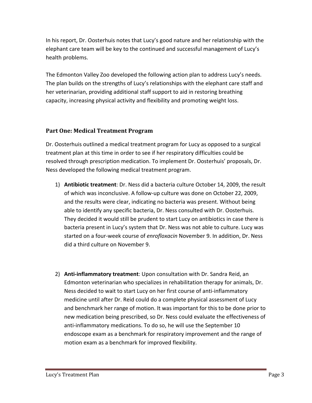In his report, Dr. Oosterhuis notes that Lucy's good nature and her relationship with the elephant care team will be key to the continued and successful management of Lucy's health problems.

The Edmonton Valley Zoo developed the following action plan to address Lucy's needs. The plan builds on the strengths of Lucy's relationships with the elephant care staff and her veterinarian, providing additional staff support to aid in restoring breathing capacity, increasing physical activity and flexibility and promoting weight loss.

#### **Part One: Medical Treatment Program**

Dr. Oosterhuis outlined a medical treatment program for Lucy as opposed to a surgical treatment plan at this time in order to see if her respiratory difficulties could be resolved through prescription medication. To implement Dr. Oosterhuis' proposals, Dr. Ness developed the following medical treatment program.

- 1) **Antibiotic treatment**: Dr. Ness did a bacteria culture October 14, 2009, the result of which was inconclusive. A follow‐up culture was done on October 22, 2009, and the results were clear, indicating no bacteria was present. Without being able to identify any specific bacteria, Dr. Ness consulted with Dr. Oosterhuis. They decided it would still be prudent to start Lucy on antibiotics in case there is bacteria present in Lucy's system that Dr. Ness was not able to culture. Lucy was started on a four‐week course of *enrofloxacin* November 9. In addition, Dr. Ness did a third culture on November 9.
- 2) **Anti‐inflammatory treatment**: Upon consultation with Dr. Sandra Reid, an Edmonton veterinarian who specializes in rehabilitation therapy for animals, Dr. Ness decided to wait to start Lucy on her first course of anti‐inflammatory medicine until after Dr. Reid could do a complete physical assessment of Lucy and benchmark her range of motion. It was important for this to be done prior to new medication being prescribed, so Dr. Ness could evaluate the effectiveness of anti-inflammatory medications. To do so, he will use the September 10 endoscope exam as a benchmark for respiratory improvement and the range of motion exam as a benchmark for improved flexibility.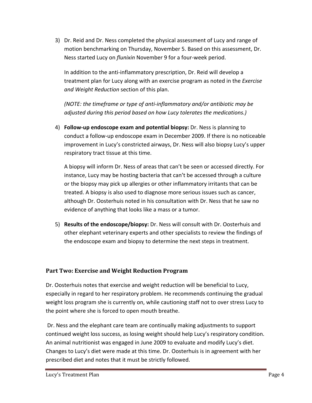3) Dr. Reid and Dr. Ness completed the physical assessment of Lucy and range of motion benchmarking on Thursday, November 5. Based on this assessment, Dr. Ness started Lucy on *flunixin* November 9 for a four‐week period.

In addition to the anti‐inflammatory prescription, Dr. Reid will develop a treatment plan for Lucy along with an exercise program as noted in the *Exercise and Weight Reduction* section of this plan.

*(NOTE: the timeframe or type of anti‐inflammatory and/or antibiotic may be adjusted during this period based on how Lucy tolerates the medications.)*

4) **Follow‐up endoscope exam and potential biopsy:** Dr. Ness is planning to conduct a follow‐up endoscope exam in December 2009. If there is no noticeable improvement in Lucy's constricted airways, Dr. Ness will also biopsy Lucy's upper respiratory tract tissue at this time.

A biopsy will inform Dr. Ness of areas that can't be seen or accessed directly. For instance, Lucy may be hosting bacteria that can't be accessed through a culture or the biopsy may pick up allergies or other inflammatory irritants that can be treated. A biopsy is also used to diagnose more serious issues such as cancer, although Dr. Oosterhuis noted in his consultation with Dr. Ness that he saw no evidence of anything that looks like a mass or a tumor.

5) **Results of the endoscope/biopsy:** Dr. Ness will consult with Dr. Oosterhuis and other elephant veterinary experts and other specialists to review the findings of the endoscope exam and biopsy to determine the next steps in treatment.

# **Part Two: Exercise and Weight Reduction Program**

Dr. Oosterhuis notes that exercise and weight reduction will be beneficial to Lucy, especially in regard to her respiratory problem. He recommends continuing the gradual weight loss program she is currently on, while cautioning staff not to over stress Lucy to the point where she is forced to open mouth breathe.

Dr. Ness and the elephant care team are continually making adjustments to support continued weight loss success, as losing weight should help Lucy's respiratory condition. An animal nutritionist was engaged in June 2009 to evaluate and modify Lucy's diet. Changes to Lucy's diet were made at this time. Dr. Oosterhuis is in agreement with her prescribed diet and notes that it must be strictly followed.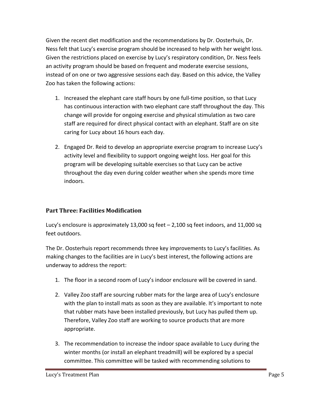Given the recent diet modification and the recommendations by Dr. Oosterhuis, Dr. Ness felt that Lucy's exercise program should be increased to help with her weight loss. Given the restrictions placed on exercise by Lucy's respiratory condition, Dr. Ness feels an activity program should be based on frequent and moderate exercise sessions, instead of on one or two aggressive sessions each day. Based on this advice, the Valley Zoo has taken the following actions:

- 1. Increased the elephant care staff hours by one full‐time position, so that Lucy has continuous interaction with two elephant care staff throughout the day. This change will provide for ongoing exercise and physical stimulation as two care staff are required for direct physical contact with an elephant. Staff are on site caring for Lucy about 16 hours each day.
- 2. Engaged Dr. Reid to develop an appropriate exercise program to increase Lucy's activity level and flexibility to support ongoing weight loss. Her goal for this program will be developing suitable exercises so that Lucy can be active throughout the day even during colder weather when she spends more time indoors.

# **Part Three: Facilities Modification**

Lucy's enclosure is approximately 13,000 sq feet  $-2,100$  sq feet indoors, and 11,000 sq feet outdoors.

The Dr. Oosterhuis report recommends three key improvements to Lucy's facilities. As making changes to the facilities are in Lucy's best interest, the following actions are underway to address the report:

- 1. The floor in a second room of Lucy's indoor enclosure will be covered in sand.
- 2. Valley Zoo staff are sourcing rubber mats for the large area of Lucy's enclosure with the plan to install mats as soon as they are available. It's important to note that rubber mats have been installed previously, but Lucy has pulled them up. Therefore, Valley Zoo staff are working to source products that are more appropriate.
- 3. The recommendation to increase the indoor space available to Lucy during the winter months (or install an elephant treadmill) will be explored by a special committee. This committee will be tasked with recommending solutions to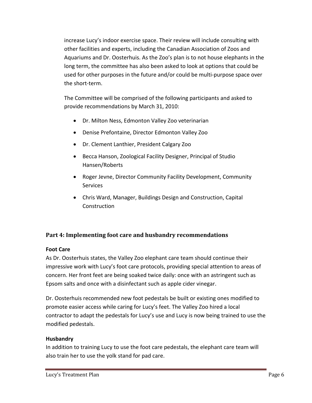increase Lucy's indoor exercise space. Their review will include consulting with other facilities and experts, including the Canadian Association of Zoos and Aquariums and Dr. Oosterhuis. As the Zoo's plan is to not house elephants in the long term, the committee has also been asked to look at options that could be used for other purposes in the future and/or could be multi‐purpose space over the short‐term.

The Committee will be comprised of the following participants and asked to provide recommendations by March 31, 2010:

- Dr. Milton Ness, Edmonton Valley Zoo veterinarian
- Denise Prefontaine, Director Edmonton Valley Zoo
- Dr. Clement Lanthier, President Calgary Zoo
- **•** Becca Hanson, Zoological Facility Designer, Principal of Studio Hansen/Roberts
- Roger Jevne, Director Community Facility Development, Community **Services**
- Chris Ward, Manager, Buildings Design and Construction, Capital **Construction**

# **Part 4: Implementing foot care and husbandry recommendations**

#### **Foot Care**

As Dr. Oosterhuis states, the Valley Zoo elephant care team should continue their impressive work with Lucy's foot care protocols, providing special attention to areas of concern. Her front feet are being soaked twice daily: once with an astringent such as Epsom salts and once with a disinfectant such as apple cider vinegar.

Dr. Oosterhuis recommended new foot pedestals be built or existing ones modified to promote easier access while caring for Lucy's feet. The Valley Zoo hired a local contractor to adapt the pedestals for Lucy's use and Lucy is now being trained to use the modified pedestals.

#### **Husbandry**

In addition to training Lucy to use the foot care pedestals, the elephant care team will also train her to use the yolk stand for pad care.